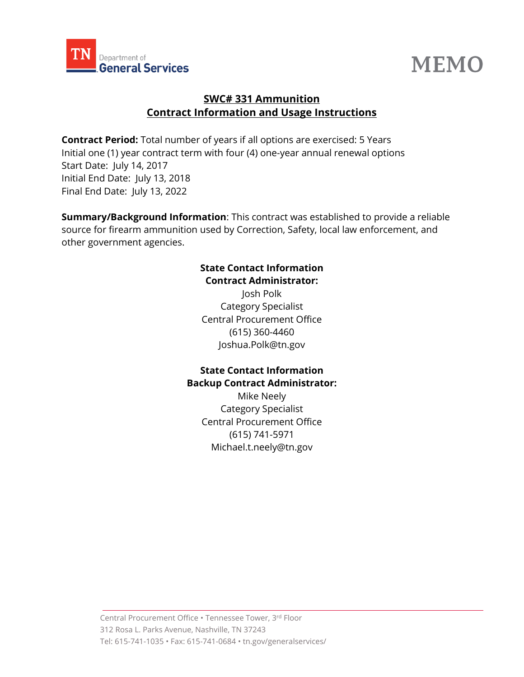



# **SWC# 331 Ammunition Contract Information and Usage Instructions**

**Contract Period:** Total number of years if all options are exercised: 5 Years Initial one (1) year contract term with four (4) one-year annual renewal options Start Date: July 14, 2017 Initial End Date: July 13, 2018 Final End Date: July 13, 2022

**Summary/Background Information**: This contract was established to provide a reliable source for firearm ammunition used by Correction, Safety, local law enforcement, and other government agencies.

#### **State Contact Information Contract Administrator:**

Josh Polk Category Specialist Central Procurement Office (615) 360-4460 Joshua.Polk@tn.gov

### **State Contact Information Backup Contract Administrator:**

Mike Neely Category Specialist Central Procurement Office (615) 741-5971 Michael.t.neely@tn.gov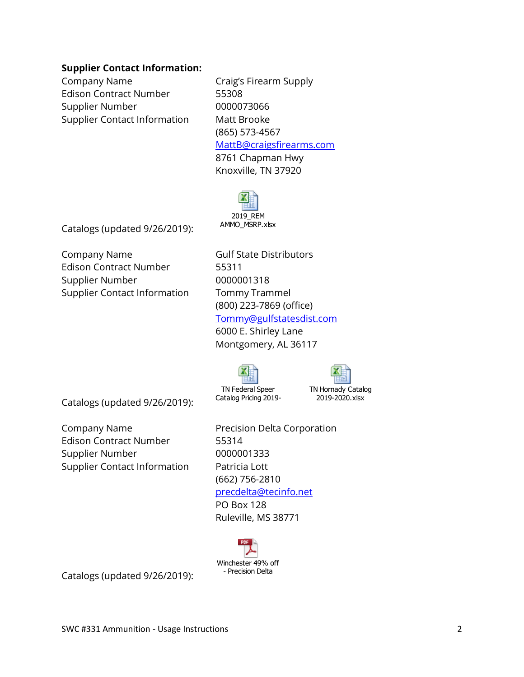#### **Supplier Contact Information:**

Company Name Craig's Firearm Supply Edison Contract Number 55308 Supplier Number 0000073066 Supplier Contact Information Matt Brooke

(865) 573-4567 [MattB@craigsfirearms.com](mailto:MattB@craigsfirearms.com) 8761 Chapman Hwy Knoxville, TN 37920



Catalogs (updated 9/26/2019):

Company Name Gulf State Distributors Edison Contract Number 55311 Supplier Number 0000001318 Supplier Contact Information Tommy Trammel

(800) 223-7869 (office) [Tommy@gulfstatesdist.com](mailto:Tommy@gulfstatesdist.com) 6000 E. Shirley Lane Montgomery, AL 36117

> TN Hornady Catalog 2019-2020.xlsx

Catalogs (updated 9/26/2019):

Edison Contract Number 55314 Supplier Number 0000001333 Supplier Contact Information Patricia Lott

**Company Name** Precision Delta Corporation (662) 756-2810 [precdelta@tecinfo.net](mailto:precdelta@tecinfo.net) PO Box 128 Ruleville, MS 38771



TN Federal Speer Catalog Pricing 2019-

Catalogs (updated 9/26/2019):